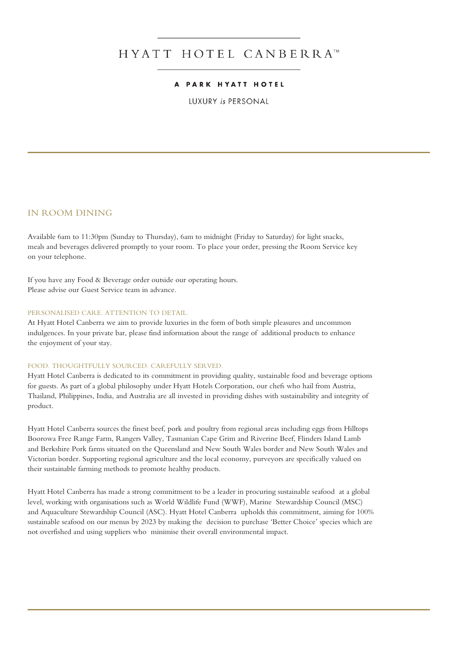## HYATT HOTEL CANBERRA™

#### **PARK HYATT HOTEL**

**LUXURY is PERSONAL** 

#### IN ROOM DINING

Available 6am to 11:30pm (Sunday to Thursday), 6am to midnight (Friday to Saturday) for light snacks, meals and beverages delivered promptly to your room. To place your order, pressing the Room Service key on your telephone.

If you have any Food & Beverage order outside our operating hours. Please advise our Guest Service team in advance.

#### PERSONALISED CARE. ATTENTION TO DETAIL.

At Hyatt Hotel Canberra we aim to provide luxuries in the form of both simple pleasures and uncommon indulgences. In your private bar, please find information about the range of additional products to enhance the enjoyment of your stay.

#### FOOD. THOUGHTFULLY SOURCED. CAREFULLY SERVED.

Hyatt Hotel Canberra is dedicated to its commitment in providing quality, sustainable food and beverage options for guests. As part of a global philosophy under Hyatt Hotels Corporation, our chefs who hail from Austria, Thailand, Philippines, India, and Australia are all invested in providing dishes with sustainability and integrity of product.

Hyatt Hotel Canberra sources the finest beef, pork and poultry from regional areas including eggs from Hilltops Boorowa Free Range Farm, Rangers Valley, Tasmanian Cape Grim and Riverine Beef, Flinders Island Lamb and Berkshire Pork farms situated on the Queensland and New South Wales border and New South Wales and Victorian border. Supporting regional agriculture and the local economy, purveyors are specifically valued on their sustainable farming methods to promote healthy products.

Hyatt Hotel Canberra has made a strong commitment to be a leader in procuring sustainable seafood at a global level, working with organisations such as World Wildlife Fund (WWF), Marine Stewardship Council (MSC) and Aquaculture Stewardship Council (ASC). Hyatt Hotel Canberra upholds this commitment, aiming for 100% sustainable seafood on our menus by 2023 by making the decision to purchase 'Better Choice' species which are not overfished and using suppliers who minimise their overall environmental impact.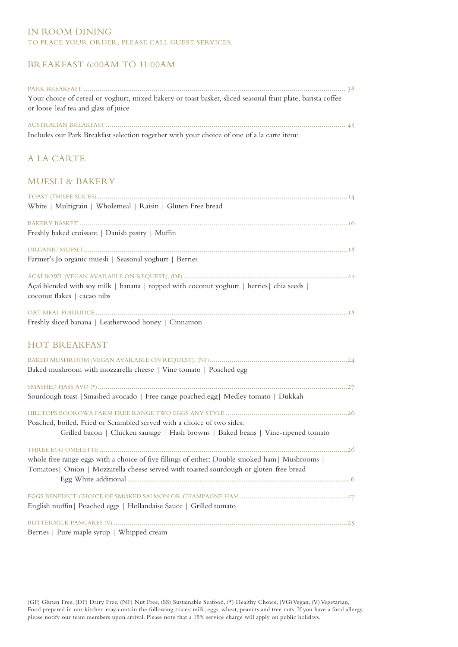#### IN ROOM DINING TO PLACE YOUR ORDER, PLEASE CALL GUEST SERVICES.

### BREAKFAST 6:00AM TO 11:00AM

| Your choice of cereal or yoghurt, mixed bakery or toast basket, sliced seasonal fruit plate, barista coffee                                                                                |
|--------------------------------------------------------------------------------------------------------------------------------------------------------------------------------------------|
| or loose-leaf tea and glass of juice                                                                                                                                                       |
| Includes our Park Breakfast selection together with your choice of one of a la carte item:                                                                                                 |
| <b>ALA CARTE</b>                                                                                                                                                                           |
| <b>MUESLI &amp; BAKERY</b>                                                                                                                                                                 |
| White   Multigrain   Wholemeal   Raisin   Gluten Free bread                                                                                                                                |
| Freshly baked croissant   Danish pastry   Muffin                                                                                                                                           |
| Farmer's Jo organic muesli   Seasonal yoghurt   Berries                                                                                                                                    |
| Açaí blended with soy milk   banana   topped with coconut yoghurt   berries   chia seeds  <br>coconut flakes   cacao nibs                                                                  |
| Freshly sliced banana   Leatherwood honey   Cinnamon                                                                                                                                       |
| <b>HOT BREAKFAST</b>                                                                                                                                                                       |
| Baked mushroom with mozzarella cheese   Vine tomato   Poached egg                                                                                                                          |
| Sourdough toast   Smashed avocado   Free range poached egg   Medley tomato   Dukkah                                                                                                        |
| Poached, boiled, Fried or Scrambled served with a choice of two sides:<br>Grilled bacon   Chicken sausage   Hash browns   Baked beans   Vine-ripened tomato                                |
| whole free range eggs with a choice of five fillings of either: Double smoked ham   Mushrooms  <br>Tomatoes   Onion   Mozzarella cheese served with toasted sourdough or gluten-free bread |
| English muffin   Poached eggs   Hollandaise Sauce   Grilled tomato                                                                                                                         |
| Berries   Pure maple syrup   Whipped cream                                                                                                                                                 |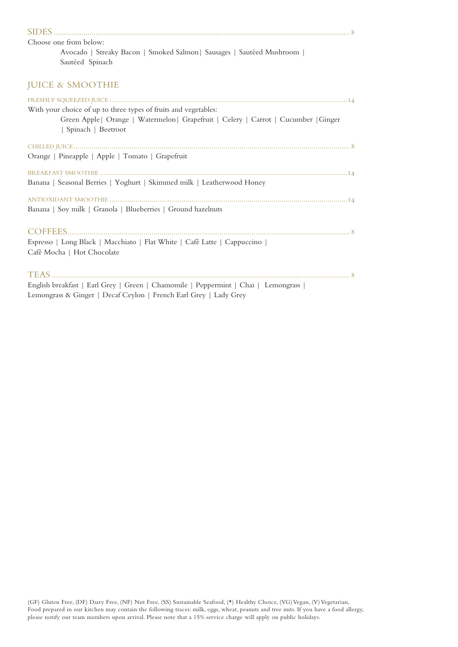| Choose one from below:                                                                                                                                                          |
|---------------------------------------------------------------------------------------------------------------------------------------------------------------------------------|
| Avocado   Streaky Bacon   Smoked Salmon   Sausages   Sautéed Mushroom  <br>Sautéed Spinach                                                                                      |
| <b>JUICE &amp; SMOOTHIE</b>                                                                                                                                                     |
|                                                                                                                                                                                 |
| With your choice of up to three types of fruits and vegetables:<br>Green Apple   Orange   Watermelon   Grapefruit   Celery   Carrot   Cucumber   Ginger<br>  Spinach   Beetroot |
|                                                                                                                                                                                 |
| Orange   Pineapple   Apple   Tomato   Grapefruit                                                                                                                                |
|                                                                                                                                                                                 |
| Banana   Seasonal Berries   Yoghurt   Skimmed milk   Leatherwood Honey                                                                                                          |
|                                                                                                                                                                                 |
| Banana   Soy milk   Granola   Blueberries   Ground hazelnuts                                                                                                                    |
|                                                                                                                                                                                 |
| Espresso   Long Black   Macchiato   Flat White   Café Latte   Cappuccino                                                                                                        |
| Café Mocha   Hot Chocolate                                                                                                                                                      |
|                                                                                                                                                                                 |
| English breakfast   Earl Grey   Green   Chamomile   Peppermint   Chai   Lemongrass                                                                                              |
| Lemongrass & Ginger   Decaf Ceylon   French Earl Grey   Lady Grey                                                                                                               |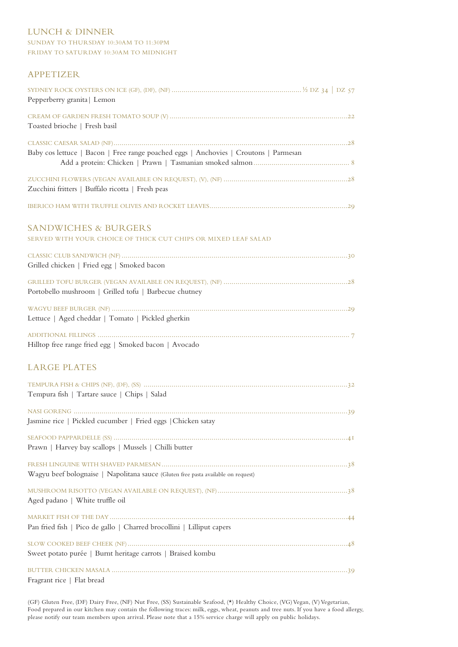#### LUNCH & DINNER

#### SUNDAY TO THURSDAY 10:30AM TO 11:30PM FRIDAY TO SATURDAY 10:30AM TO MIDNIGHT

#### APPETIZER

| Pepperberry granita   Lemon                                                                       |  |
|---------------------------------------------------------------------------------------------------|--|
| Toasted brioche   Fresh basil                                                                     |  |
| Baby cos lettuce   Bacon   Free range poached eggs   Anchovies   Croutons   Parmesan              |  |
| Zucchini fritters   Buffalo ricotta   Fresh peas                                                  |  |
|                                                                                                   |  |
| <b>SANDWICHES &amp; BURGERS</b><br>SERVED WITH YOUR CHOICE OF THICK CUT CHIPS OR MIXED LEAF SALAD |  |
| Grilled chicken   Fried egg   Smoked bacon                                                        |  |
| Portobello mushroom   Grilled tofu   Barbecue chutney                                             |  |
| Lettuce   Aged cheddar   Tomato   Pickled gherkin                                                 |  |
| Hilltop free range fried egg   Smoked bacon   Avocado                                             |  |
| <b>LARGE PLATES</b>                                                                               |  |
| Tempura fish   Tartare sauce   Chips   Salad                                                      |  |
| Jasmine rice   Pickled cucumber   Fried eggs   Chicken satay                                      |  |
| Prawn   Harvey bay scallops   Mussels   Chilli butter                                             |  |
| Wagyu beef bolognaise   Napolitana sauce (Gluten free pasta available on request)                 |  |
| Aged padano   White truffle oil                                                                   |  |
| Pan fried fish   Pico de gallo   Charred brocollini   Lilliput capers                             |  |
| Sweet potato purée   Burnt heritage carrots   Braised kombu                                       |  |
| Fragrant rice   Flat bread                                                                        |  |

(GF) Gluten Free, (DF) Dairy Free, (NF) Nut Free, (SS) Sustainable Seafood, (\*) Healthy Choice, (VG) Vegan, (V) Vegetarian, Food prepared in our kitchen may contain the following traces: milk, eggs, wheat, peanuts and tree nuts. If you have a food allergy, please notify our team members upon arrival. Please note that a 15% service charge will apply on public holidays.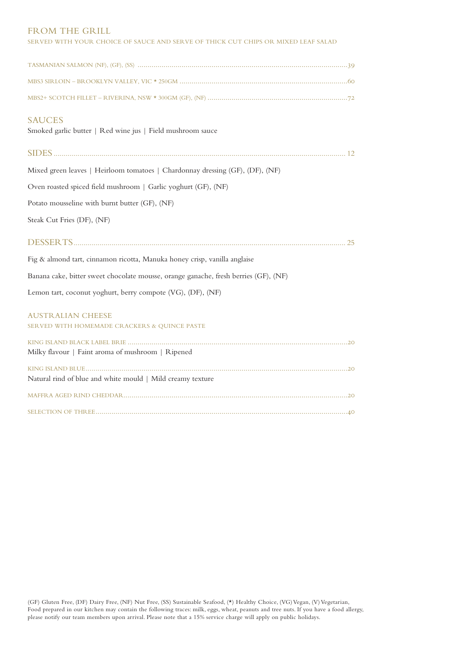#### FROM THE GRILL

| SERVED WITH YOUR CHOICE OF SAUCE AND SERVE OF THICK CUT CHIPS OR MIXED LEAF SALAD    |
|--------------------------------------------------------------------------------------|
|                                                                                      |
|                                                                                      |
|                                                                                      |
| <b>SAUCES</b><br>Smoked garlic butter   Red wine jus   Field mushroom sauce          |
|                                                                                      |
| Mixed green leaves   Heirloom tomatoes   Chardonnay dressing (GF), (DF), (NF)        |
| Oven roasted spiced field mushroom   Garlic yoghurt (GF), (NF)                       |
| Potato mousseline with burnt butter (GF), (NF)                                       |
| Steak Cut Fries (DF), (NF)                                                           |
|                                                                                      |
|                                                                                      |
| Fig & almond tart, cinnamon ricotta, Manuka honey crisp, vanilla anglaise            |
| Banana cake, bitter sweet chocolate mousse, orange ganache, fresh berries (GF), (NF) |
| Lemon tart, coconut yoghurt, berry compote (VG), (DF), (NF)                          |
| <b>AUSTRALIAN CHEESE</b><br>SERVED WITH HOMEMADE CRACKERS & QUINCE PASTE             |
| Milky flavour   Faint aroma of mushroom   Ripened                                    |
| Natural rind of blue and white mould   Mild creamy texture                           |
|                                                                                      |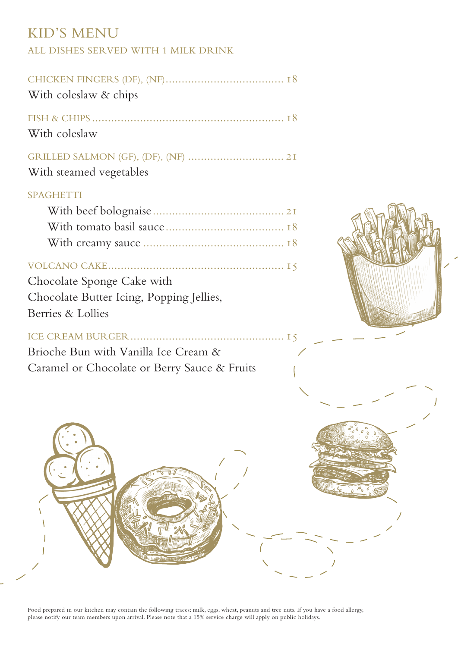# KID'S MENU

## ALL DISHES SERVED WITH 1 MILK DRINK

| With coleslaw & chips                                                                       |  |
|---------------------------------------------------------------------------------------------|--|
| With coleslaw                                                                               |  |
| With steamed vegetables                                                                     |  |
| <b>SPAGHETTI</b>                                                                            |  |
| Chocolate Sponge Cake with<br>Chocolate Butter Icing, Popping Jellies,<br>Berries & Lollies |  |
| Brioche Bun with Vanilla Ice Cream &<br>Caramel or Chocolate or Berry Sauce & Fruits        |  |
|                                                                                             |  |

Food prepared in our kitchen may contain the following traces: milk, eggs, wheat, peanuts and tree nuts. If you have a food allergy, please notify our team members upon arrival. Please note that a 15% service charge will apply on public holidays.